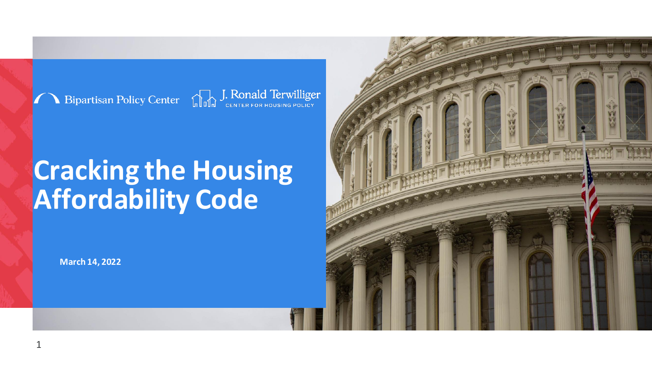

Bipartisan Policy Center **Command J. Ronald Terwilliger** 

# **Cracking the Housing Affordability Code**

**March 14, 2022**

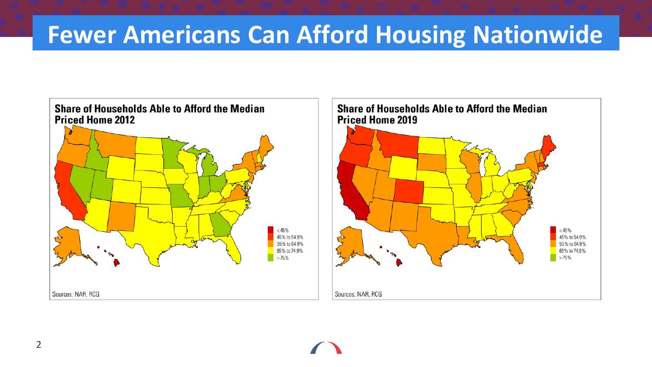### **Fewer Americans Can Afford Housing Nationwide**

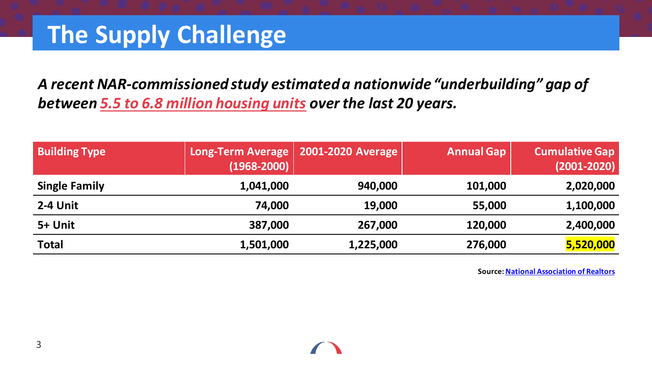### **The Supply Challenge**

*A recent NAR-commissioned study estimated a nationwide "underbuilding" gap of between 5.5 to 6.8 million housing units over the last 20 years.*

| <b>Building Type</b> | Long-Term Average<br>$(1968 - 2000)$ | 2001-2020 Average | <b>Annual Gap</b> | <b>Cumulative Gap</b><br>$(2001 - 2020)$ |
|----------------------|--------------------------------------|-------------------|-------------------|------------------------------------------|
| <b>Single Family</b> | 1,041,000                            | 940,000           | 101,000           | 2,020,000                                |
| 2-4 Unit             | 74,000                               | 19,000            | 55,000            | 1,100,000                                |
| 5+ Unit              | 387,000                              | 267,000           | 120,000           | 2,400,000                                |
| <b>Total</b>         | 1,501,000                            | 1,225,000         | 276,000           | 5,520,000                                |

**Source: [National Association of Realtors](https://cdn.nar.realtor/sites/default/files/documents/Housing-is-Critical-Infrastructure-Social-and-Economic-Benefits-of-Building-More-Housing-6-15-2021.pdf)**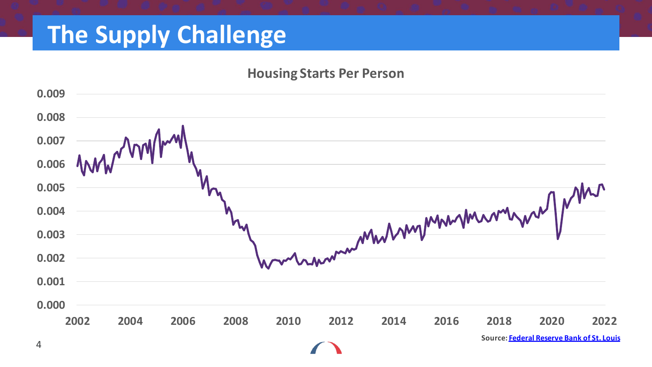### **The Supply Challenge**

#### **Housing Starts Per Person**

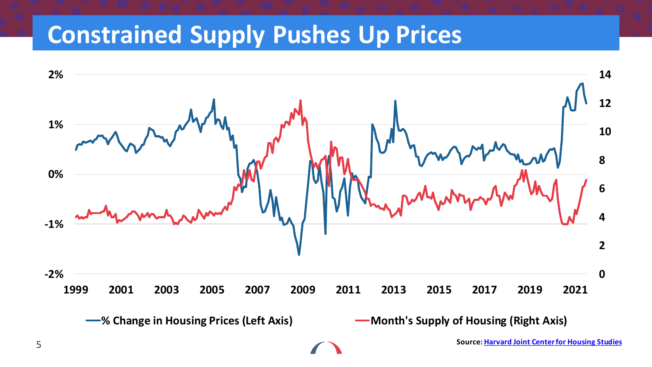### **Constrained Supply Pushes Up Prices**

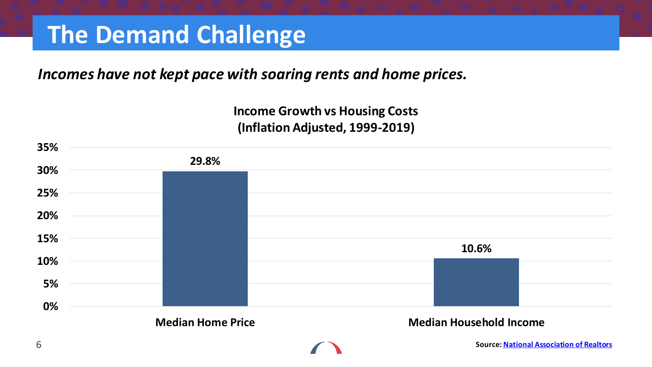### **The Demand Challenge**

### *Incomes have not kept pace with soaring rents and home prices.*

#### **Income Growth vs Housing Costs (Inflation Adjusted, 1999-2019)**

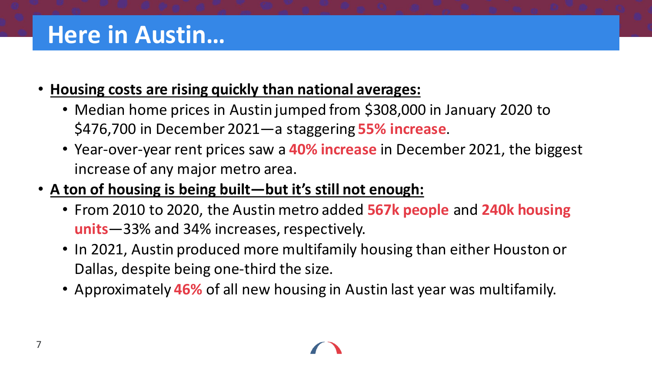- **Housing costs are rising quickly than national averages:**
	- Median home prices in Austin jumped from \$308,000 in January 2020 to \$476,700 in December 2021—a staggering **55% increase**.
	- Year-over-year rent prices saw a **40% increase** in December 2021, the biggest increase of any major metro area.
- **A ton of housing is being built—but it's still not enough:**
	- From 2010 to 2020, the Austin metro added **567k people** and **240k housing units**—33% and 34% increases, respectively.
	- In 2021, Austin produced more multifamily housing than either Houston or Dallas, despite being one-third the size.
	- Approximately **46%** of all new housing in Austin last year was multifamily.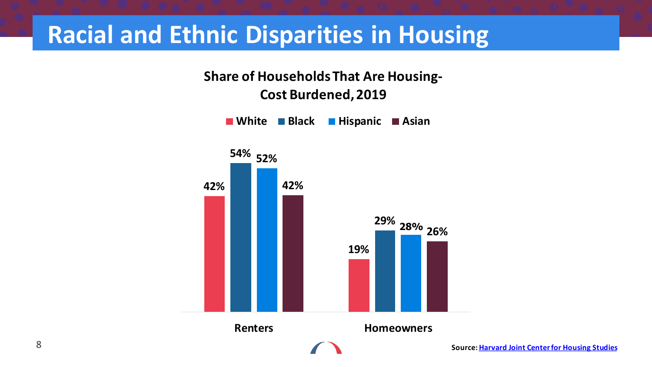### **Racial and Ethnic Disparities in Housing**

**Share of Households That Are Housing-Cost Burdened, 2019** 

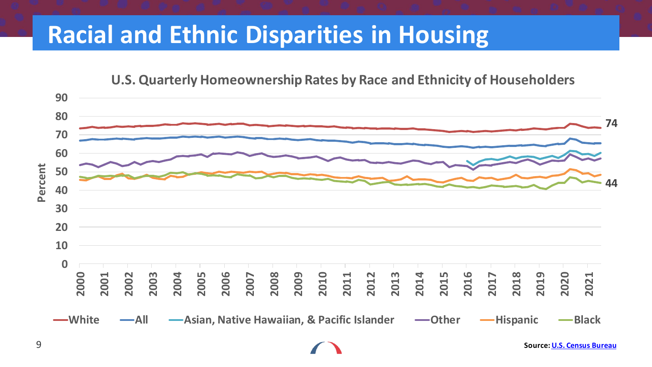### **Racial and Ethnic Disparities in Housing**



**U.S. Quarterly Homeownership Rates by Race and Ethnicity of Householders**

**Source: [U.S. Census Bureau](https://www.census.gov/housing/hvs/index.html)**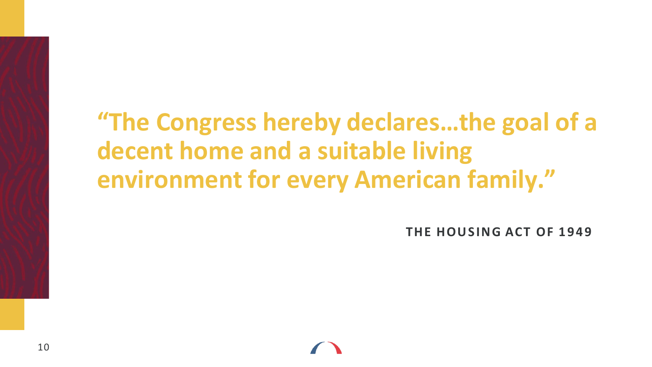# **"The Congress hereby declares…the goal of a decent home and a suitable living environment for every American family."**

**THE HOUSING ACT OF 1949**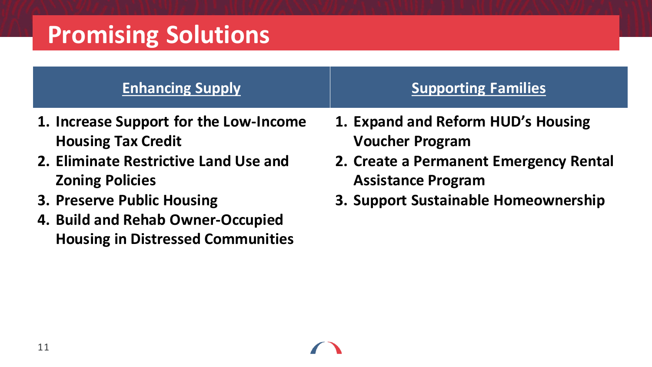# **Promising Solutions**

### **Enhancing Supply Supporting Families Supporting Families**

- **1. Increase Support for the Low-Income Housing Tax Credit**
- **2. Eliminate Restrictive Land Use and Zoning Policies**
- **3. Preserve Public Housing**
- **4. Build and Rehab Owner-Occupied Housing in Distressed Communities**
- 
- **1. Expand and Reform HUD's Housing Voucher Program**
- **2. Create a Permanent Emergency Rental Assistance Program**
- **3. Support Sustainable Homeownership**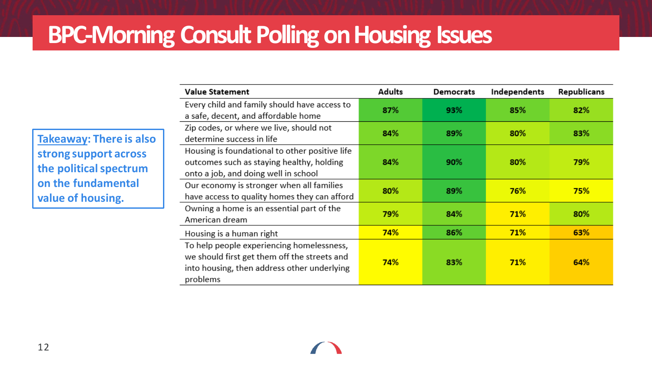### **BPC-Morning Consult Polling on Housing Issues**

problems

|                                                                                                                       | <b>Value Statement</b>                                                                                                                   | <b>Adults</b> | Democrats | Independents      | Republicans<br>82%<br>83%<br>79%<br>75%<br>80%<br>63%<br>64% |
|-----------------------------------------------------------------------------------------------------------------------|------------------------------------------------------------------------------------------------------------------------------------------|---------------|-----------|-------------------|--------------------------------------------------------------|
|                                                                                                                       | Every child and family should have access to<br>a safe, decent, and affordable home                                                      | 87%           | 93%       | 85%               |                                                              |
| Takeaway: There is also<br>strong support across<br>the political spectrum<br>on the fundamental<br>value of housing. | Zip codes, or where we live, should not<br>determine success in life                                                                     | 84%           | 89%       | 80%               |                                                              |
|                                                                                                                       | Housing is foundational to other positive life<br>outcomes such as staying healthy, holding<br>onto a job, and doing well in school      | 84%           | 90%       | 80%               |                                                              |
|                                                                                                                       | Our economy is stronger when all families<br>have access to quality homes they can afford                                                | 80%           | 89%       | 76%               |                                                              |
|                                                                                                                       | Owning a home is an essential part of the<br>American dream                                                                              | 79%           | 84%       | 71%<br>71%<br>71% |                                                              |
|                                                                                                                       | Housing is a human right                                                                                                                 | 74%           | 86%       |                   |                                                              |
|                                                                                                                       | To help people experiencing homelessness,<br>we should first get them off the streets and<br>into housing, then address other underlying | 74%           | 83%       |                   |                                                              |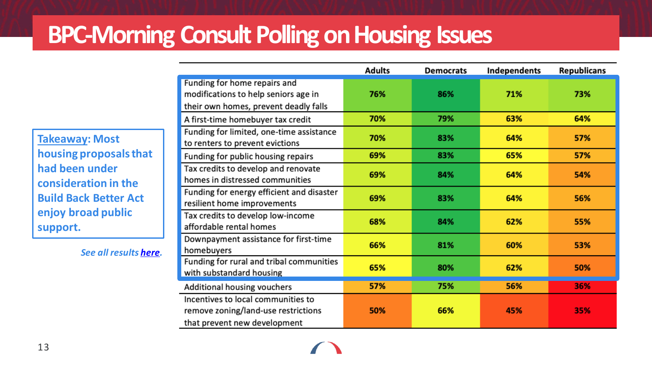## **BPC-Morning Consult Polling on Housing Issues**

|                                                                                                               | <b>Adults</b> | <b>Democrats</b> | Independents | <b>Republicans</b> |
|---------------------------------------------------------------------------------------------------------------|---------------|------------------|--------------|--------------------|
| Funding for home repairs and<br>modifications to help seniors age in<br>their own homes, prevent deadly falls | 76%           | 86%              | 71%          | 73%                |
| A first-time homebuyer tax credit                                                                             | 70%           | 79%              | 63%          | 64%                |
| Funding for limited, one-time assistance<br>to renters to prevent evictions                                   | 70%           | 83%              | 64%          | 57%                |
| Funding for public housing repairs                                                                            | 69%           | 83%              | 65%          | 57%                |
| Tax credits to develop and renovate<br>homes in distressed communities                                        | 69%           | 84%              | 64%          | 54%                |
| Funding for energy efficient and disaster<br>resilient home improvements                                      | 69%           | 83%              | 64%          | 56%                |
| Tax credits to develop low-income<br>affordable rental homes                                                  | 68%           | 84%              | 62%          | 55%                |
| Downpayment assistance for first-time<br>homebuyers                                                           | 66%           | 81%              | 60%          | 53%                |
| Funding for rural and tribal communities<br>with substandard housing                                          | 65%           | 80%              | 62%          | 50%                |
| Additional housing vouchers                                                                                   | 57%           | 75%              | 56%          | 36%                |
| Incentives to local communities to<br>remove zoning/land-use restrictions<br>that prevent new development     | 50%           | 66%              | 45%          | 35%                |

**Takeaway: Most housing proposals that had been under consideration in the Build Back Better Act enjoy broad public support.**

*See all results [here.](https://bipartisanpolicy.org/blog/bpc-morning-consult-2021-housing/)*